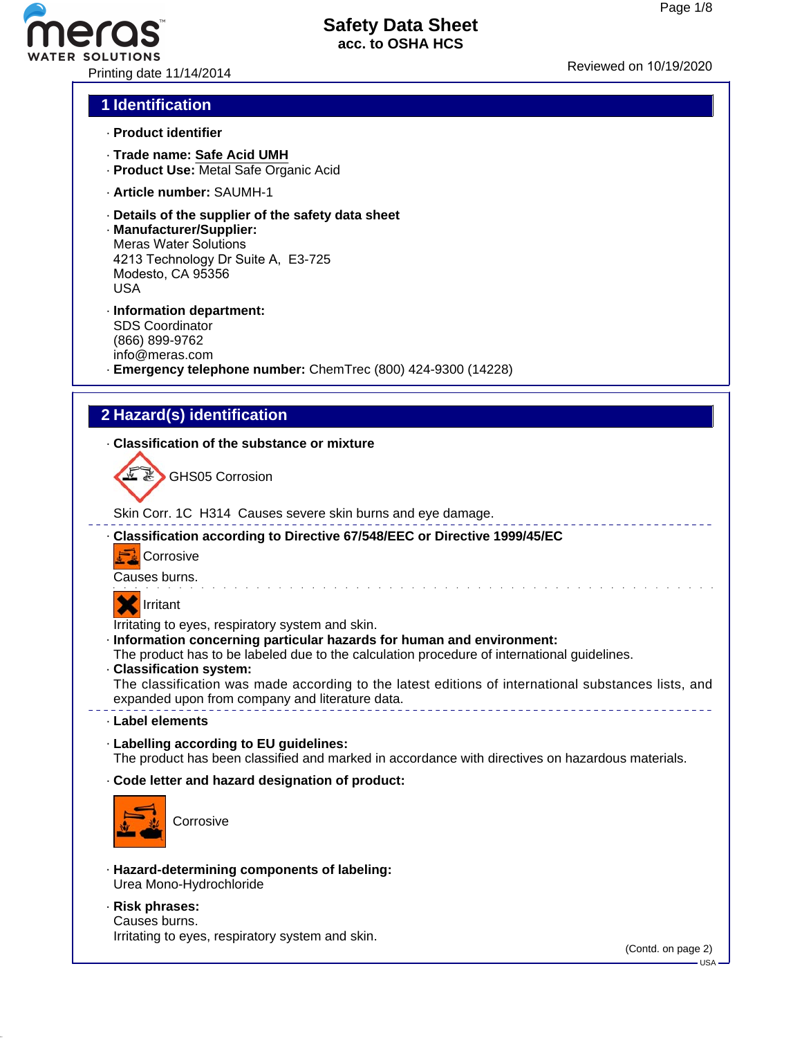Printing date 11/14/2014 **Reviewed on 10/19/2020** 

#### **1 Identification**

**FR SOLUTIONS** 

- · **Product identifier**
- · **Trade name: Safe Acid UMH**
- · **Product Use:** Metal Safe Organic Acid
- · **Article number:** SAUMH-1
- · **Details of the supplier of the safety data sheet**
- · **Manufacturer/Supplier:** Meras Water Solutions 4213 Technology Dr Suite A, E3-725 Modesto, CA 95356 USA
- · **Information department:** SDS Coordinator (866) 899-9762 info@meras.com
- · **Emergency telephone number:** ChemTrec (800) 424-9300 (14228)

#### **2 Hazard(s) identification**

#### · **Classification of the substance or mixture**



GHS05 Corrosion

Skin Corr. 1C H314 Causes severe skin burns and eye damage.





Causes burns.

## **X** Irritant

Irritating to eyes, respiratory system and skin.

#### · **Information concerning particular hazards for human and environment:**

The product has to be labeled due to the calculation procedure of international guidelines.

· **Classification system:**

The classification was made according to the latest editions of international substances lists, and expanded upon from company and literature data. 

de la caractería de la caractería de la caractería de la caractería

- · **Label elements**
- · **Labelling according to EU guidelines:** The product has been classified and marked in accordance with directives on hazardous materials.
- · **Code letter and hazard designation of product:**



**Corrosive** 

- · **Hazard-determining components of labeling:** Urea Mono-Hydrochloride
- · **Risk phrases:** Causes burns.

Irritating to eyes, respiratory system and skin.

(Contd. on page 2)

USA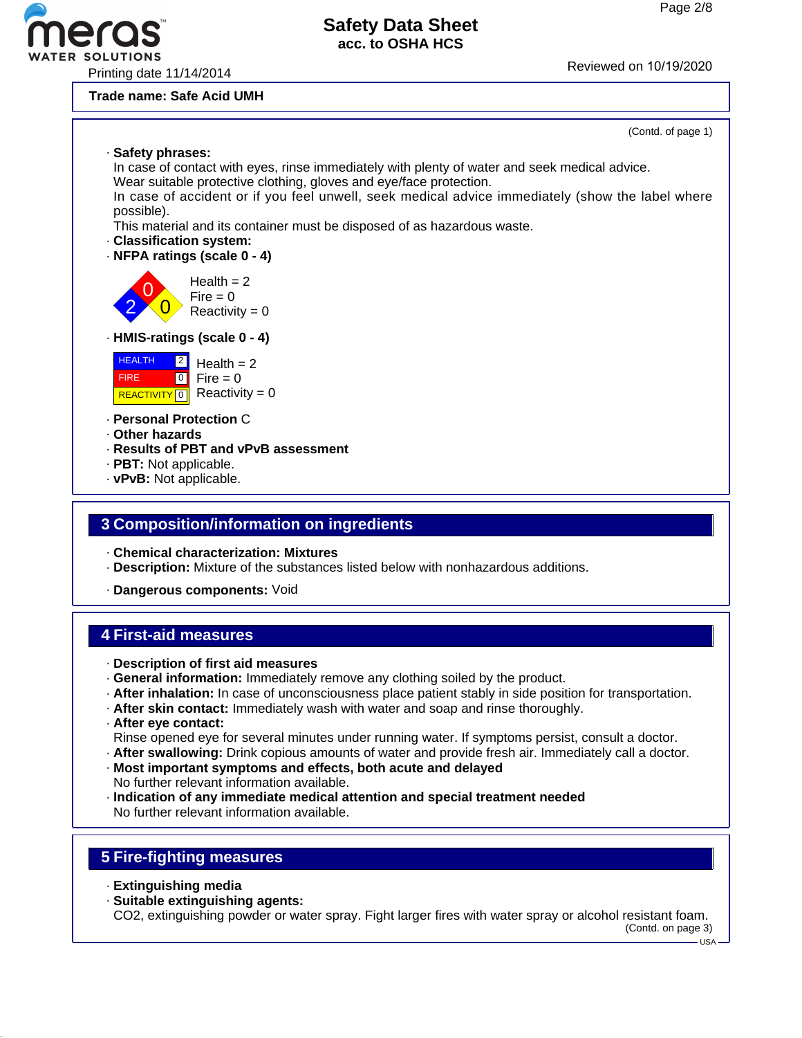# **R SOLUTIONS**

## **Safety Data Sheet acc. to OSHA HCS**

Printing date 11/14/2014 Reviewed on 10/19/20<sup>20</sup>

**Trade name: Safe Acid UMH**

#### (Contd. of page 1)

· **Safety phrases:**

In case of contact with eyes, rinse immediately with plenty of water and seek medical advice. Wear suitable protective clothing, gloves and eye/face protection.

In case of accident or if you feel unwell, seek medical advice immediately (show the label where possible).

This material and its container must be disposed of as hazardous waste.

- · **Classification system:**
- · **NFPA ratings (scale 0 4)**

0  $\overline{\mathbf{0}}$  $Health = 2$  $Fire = 0$  $Reactivity = 0$ 

#### · **HMIS-ratings (scale 0 - 4)**



· **Personal Protection** C

· **Other hazards**

2

- · **Results of PBT and vPvB assessment**
- · **PBT:** Not applicable.
- · **vPvB:** Not applicable.

#### **3 Composition/information on ingredients**

· **Chemical characterization: Mixtures**

· **Description:** Mixture of the substances listed below with nonhazardous additions.

· **Dangerous components:** Void

## **4 First-aid measures**

- · **Description of first aid measures**
- · **General information:** Immediately remove any clothing soiled by the product.
- · **After inhalation:** In case of unconsciousness place patient stably in side position for transportation.
- · **After skin contact:** Immediately wash with water and soap and rinse thoroughly.
- · **After eye contact:**

Rinse opened eye for several minutes under running water. If symptoms persist, consult a doctor.

· **After swallowing:** Drink copious amounts of water and provide fresh air. Immediately call a doctor.

- · **Most important symptoms and effects, both acute and delayed** No further relevant information available.
- · **Indication of any immediate medical attention and special treatment needed** No further relevant information available.

## **5 Fire-fighting measures**

- · **Extinguishing media**
- · **Suitable extinguishing agents:**

CO2, extinguishing powder or water spray. Fight larger fires with water spray or alcohol resistant foam.

(Contd. on page 3)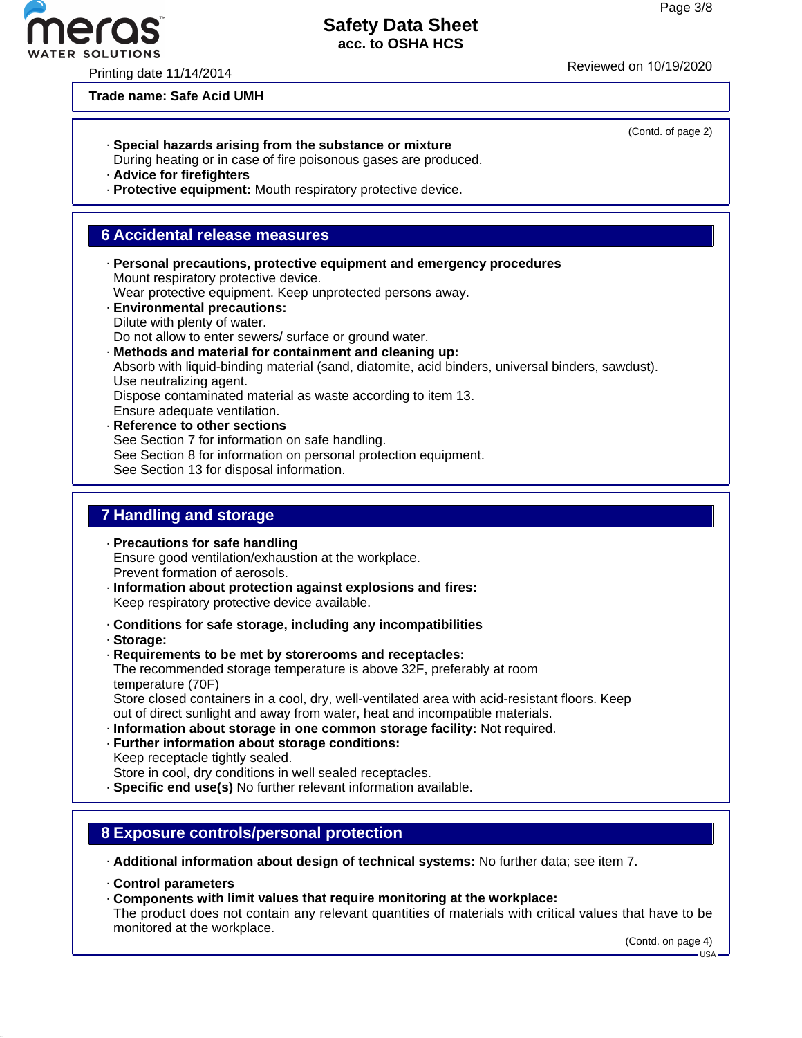Printing date 11/14/2014 **Reviewed on 10/19/2020** 

#### **Trade name: Safe Acid UMH**

- · **Special hazards arising from the substance or mixture**
- During heating or in case of fire poisonous gases are produced.
- · **Advice for firefighters**
- · **Protective equipment:** Mouth respiratory protective device.

#### **6 Accidental release measures**

- · **Personal precautions, protective equipment and emergency procedures** Mount respiratory protective device. Wear protective equipment. Keep unprotected persons away. · **Environmental precautions:** Dilute with plenty of water. Do not allow to enter sewers/ surface or ground water. · **Methods and material for containment and cleaning up:** Absorb with liquid-binding material (sand, diatomite, acid binders, universal binders, sawdust). Use neutralizing agent. Dispose contaminated material as waste according to item 13. Ensure adequate ventilation. · **Reference to other sections** See Section 7 for information on safe handling.
	- See Section 8 for information on personal protection equipment.

See Section 13 for disposal information.

#### **7 Handling and storage**

- · **Precautions for safe handling** Ensure good ventilation/exhaustion at the workplace. Prevent formation of aerosols.
- · **Information about protection against explosions and fires:** Keep respiratory protective device available.
- · **Conditions for safe storage, including any incompatibilities**
- · **Storage:**
- · **Requirements to be met by storerooms and receptacles:** The recommended storage temperature is above 32F, preferably at room temperature (70F) Store closed containers in a cool, dry, well-ventilated area with acid-resistant floors. Keep out of direct sunlight and away from water, heat and incompatible materials.
- · **Information about storage in one common storage facility:** Not required.
- · **Further information about storage conditions:** Keep receptacle tightly sealed. Store in cool, dry conditions in well sealed receptacles.
- · **Specific end use(s)** No further relevant information available.

#### **8 Exposure controls/personal protection**

· **Additional information about design of technical systems:** No further data; see item 7.

- · **Control parameters**
- · **Components with limit values that require monitoring at the workplace:**

The product does not contain any relevant quantities of materials with critical values that have to be monitored at the workplace.

(Contd. on page 4)



(Contd. of page 2)

USA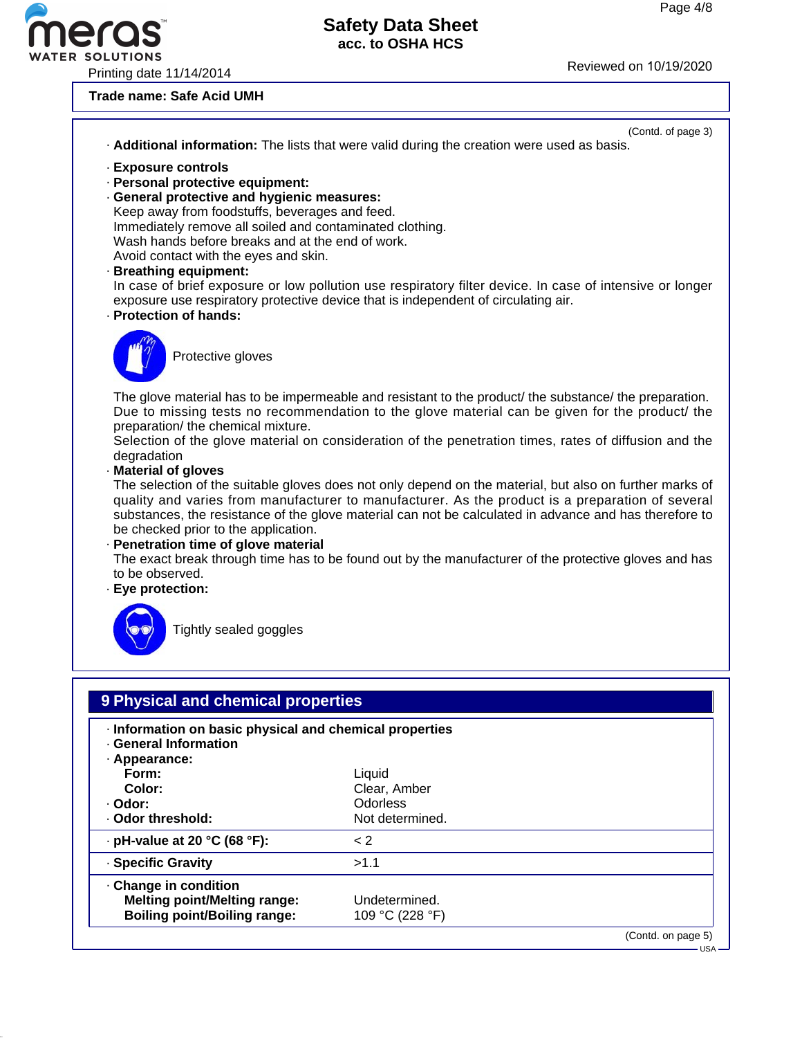WATER SOLUTIONS<br>Printing date 11/14/2014 Reviewed on 10/19/2020

eros

#### **Trade name: Safe Acid UMH**

|                                                                                                                                                                                                                                                                                                                                                                       | (Contd. of page 3)<br>. Additional information: The lists that were valid during the creation were used as basis.                                                                                                                                                                                                                                                                                                                                                                                                                                                                                                                                                                                                                                   |
|-----------------------------------------------------------------------------------------------------------------------------------------------------------------------------------------------------------------------------------------------------------------------------------------------------------------------------------------------------------------------|-----------------------------------------------------------------------------------------------------------------------------------------------------------------------------------------------------------------------------------------------------------------------------------------------------------------------------------------------------------------------------------------------------------------------------------------------------------------------------------------------------------------------------------------------------------------------------------------------------------------------------------------------------------------------------------------------------------------------------------------------------|
| · Exposure controls<br>- Personal protective equipment:<br>· General protective and hygienic measures:<br>Keep away from foodstuffs, beverages and feed.<br>Immediately remove all soiled and contaminated clothing.<br>Wash hands before breaks and at the end of work.<br>Avoid contact with the eyes and skin.<br>· Breathing equipment:<br>· Protection of hands: | In case of brief exposure or low pollution use respiratory filter device. In case of intensive or longer<br>exposure use respiratory protective device that is independent of circulating air.                                                                                                                                                                                                                                                                                                                                                                                                                                                                                                                                                      |
| Protective gloves                                                                                                                                                                                                                                                                                                                                                     |                                                                                                                                                                                                                                                                                                                                                                                                                                                                                                                                                                                                                                                                                                                                                     |
| preparation/ the chemical mixture.<br>degradation<br>· Material of gloves<br>be checked prior to the application.<br>· Penetration time of glove material<br>to be observed.<br>· Eye protection:<br>Tightly sealed goggles                                                                                                                                           | The glove material has to be impermeable and resistant to the product/ the substance/ the preparation.<br>Due to missing tests no recommendation to the glove material can be given for the product/ the<br>Selection of the glove material on consideration of the penetration times, rates of diffusion and the<br>The selection of the suitable gloves does not only depend on the material, but also on further marks of<br>quality and varies from manufacturer to manufacturer. As the product is a preparation of several<br>substances, the resistance of the glove material can not be calculated in advance and has therefore to<br>The exact break through time has to be found out by the manufacturer of the protective gloves and has |
|                                                                                                                                                                                                                                                                                                                                                                       |                                                                                                                                                                                                                                                                                                                                                                                                                                                                                                                                                                                                                                                                                                                                                     |
| 9 Physical and chemical properties                                                                                                                                                                                                                                                                                                                                    |                                                                                                                                                                                                                                                                                                                                                                                                                                                                                                                                                                                                                                                                                                                                                     |
| · Information on basic physical and chemical properties<br>· General Information<br>· Appearance:<br>Form:                                                                                                                                                                                                                                                            | Liquid                                                                                                                                                                                                                                                                                                                                                                                                                                                                                                                                                                                                                                                                                                                                              |
| Color:                                                                                                                                                                                                                                                                                                                                                                | Clear, Amber                                                                                                                                                                                                                                                                                                                                                                                                                                                                                                                                                                                                                                                                                                                                        |
| · Odor:<br>· Odor threshold:                                                                                                                                                                                                                                                                                                                                          | <b>Odorless</b><br>Not determined.                                                                                                                                                                                                                                                                                                                                                                                                                                                                                                                                                                                                                                                                                                                  |
| $\cdot$ pH-value at 20 °C (68 °F):                                                                                                                                                                                                                                                                                                                                    | < 2                                                                                                                                                                                                                                                                                                                                                                                                                                                                                                                                                                                                                                                                                                                                                 |
| · Specific Gravity                                                                                                                                                                                                                                                                                                                                                    | >1.1                                                                                                                                                                                                                                                                                                                                                                                                                                                                                                                                                                                                                                                                                                                                                |

· **Change in condition Melting point/Melting range:** Undetermined.<br>**Boiling point/Boiling range:** 109 °C (228 °F) **Boiling point/Boiling range:** 

(Contd. on page 5)

 $-$  USA -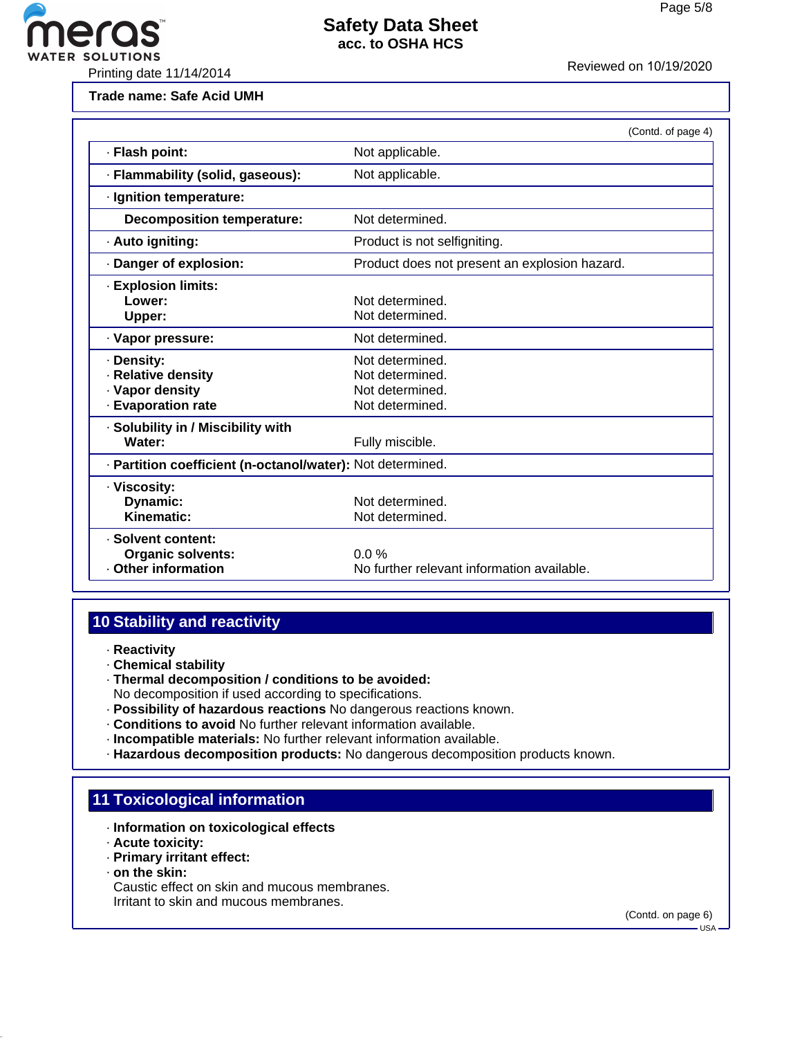

**Trade name: Safe Acid UMH**

|                                                                           | (Contd. of page 4)                                                       |  |
|---------------------------------------------------------------------------|--------------------------------------------------------------------------|--|
| · Flash point:                                                            | Not applicable.                                                          |  |
| · Flammability (solid, gaseous):                                          | Not applicable.                                                          |  |
| · Ignition temperature:                                                   |                                                                          |  |
| <b>Decomposition temperature:</b>                                         | Not determined.                                                          |  |
| · Auto igniting:                                                          | Product is not selfigniting.                                             |  |
| · Danger of explosion:                                                    | Product does not present an explosion hazard.                            |  |
| <b>Explosion limits:</b><br>Lower:<br>Upper:                              | Not determined.<br>Not determined.                                       |  |
| · Vapor pressure:                                                         | Not determined.                                                          |  |
| · Density:<br>· Relative density<br>· Vapor density<br>· Evaporation rate | Not determined.<br>Not determined.<br>Not determined.<br>Not determined. |  |
| · Solubility in / Miscibility with<br>Water:                              | Fully miscible.                                                          |  |
| · Partition coefficient (n-octanol/water): Not determined.                |                                                                          |  |
| · Viscosity:<br>Dynamic:<br>Kinematic:                                    | Not determined.<br>Not determined.                                       |  |
| · Solvent content:<br><b>Organic solvents:</b><br>Other information       | $0.0\%$<br>No further relevant information available.                    |  |

## **10 Stability and reactivity**

- · **Reactivity**
- · **Chemical stability**
- · **Thermal decomposition / conditions to be avoided:**
- No decomposition if used according to specifications.
- · **Possibility of hazardous reactions** No dangerous reactions known.
- · **Conditions to avoid** No further relevant information available.
- · **Incompatible materials:** No further relevant information available.
- · **Hazardous decomposition products:** No dangerous decomposition products known.

#### **11 Toxicological information**

- · **Information on toxicological effects**
- · **Acute toxicity:**
- · **Primary irritant effect:**
- · **on the skin:**

Caustic effect on skin and mucous membranes. Irritant to skin and mucous membranes.

(Contd. on page 6)

 $-1$ ISA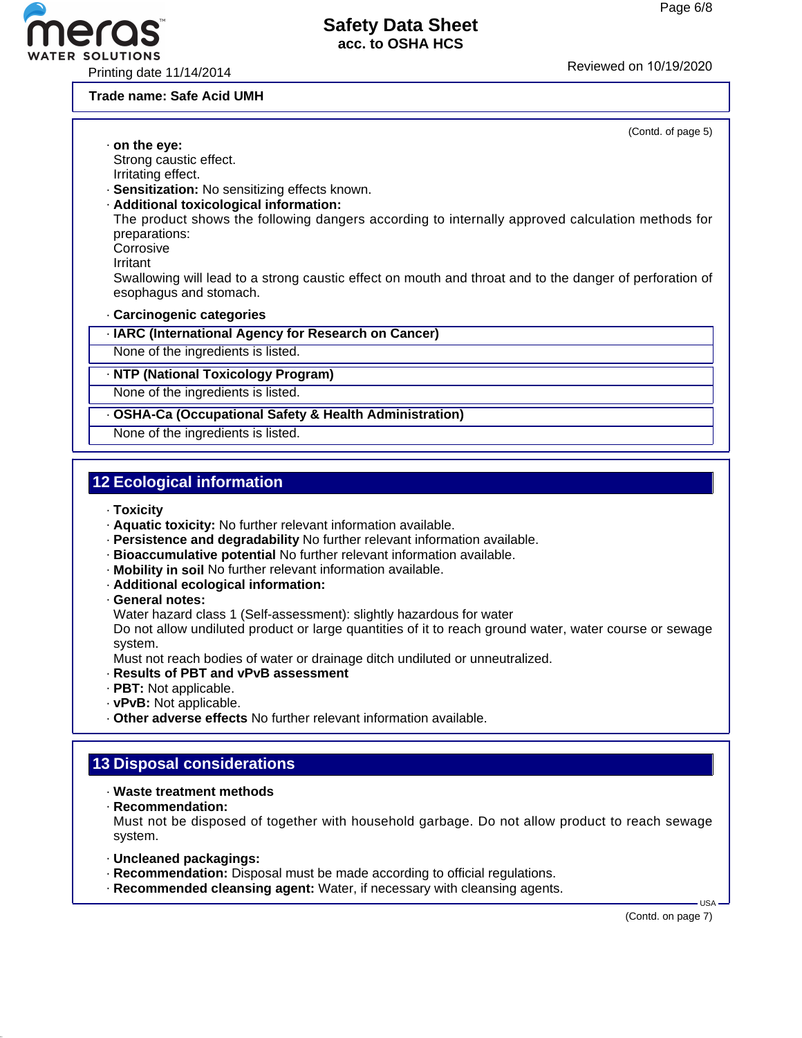

**Trade name: Safe Acid UMH**

| (Contd. of page 5)                                                                                                                |  |  |
|-----------------------------------------------------------------------------------------------------------------------------------|--|--|
| $\cdot$ on the eye:                                                                                                               |  |  |
| Strong caustic effect.                                                                                                            |  |  |
| Irritating effect.                                                                                                                |  |  |
| · Sensitization: No sensitizing effects known.                                                                                    |  |  |
| · Additional toxicological information:                                                                                           |  |  |
| The product shows the following dangers according to internally approved calculation methods for<br>preparations:                 |  |  |
| Corrosive                                                                                                                         |  |  |
| Irritant                                                                                                                          |  |  |
| Swallowing will lead to a strong caustic effect on mouth and throat and to the danger of perforation of<br>esophagus and stomach. |  |  |
| Carcinogenic categories                                                                                                           |  |  |
| · IARC (International Agency for Research on Cancer)                                                                              |  |  |
| None of the ingredients is listed.                                                                                                |  |  |
| · NTP (National Toxicology Program)                                                                                               |  |  |
| None of the ingredients is listed.                                                                                                |  |  |
| · OSHA-Ca (Occupational Safety & Health Administration)                                                                           |  |  |
| None of the ingredients is listed.                                                                                                |  |  |

## **12 Ecological information**

· **Toxicity**

- · **Aquatic toxicity:** No further relevant information available.
- · **Persistence and degradability** No further relevant information available.
- · **Bioaccumulative potential** No further relevant information available.
- · **Mobility in soil** No further relevant information available.
- · **Additional ecological information:**
- · **General notes:**

Water hazard class 1 (Self-assessment): slightly hazardous for water

Do not allow undiluted product or large quantities of it to reach ground water, water course or sewage system.

Must not reach bodies of water or drainage ditch undiluted or unneutralized.

- · **Results of PBT and vPvB assessment**
- · **PBT:** Not applicable.
- · **vPvB:** Not applicable.
- · **Other adverse effects** No further relevant information available.

#### **13 Disposal considerations**

#### · **Waste treatment methods**

· **Recommendation:**

Must not be disposed of together with household garbage. Do not allow product to reach sewage system.

- · **Uncleaned packagings:**
- · **Recommendation:** Disposal must be made according to official regulations.
- · **Recommended cleansing agent:** Water, if necessary with cleansing agents.

(Contd. on page 7)

USA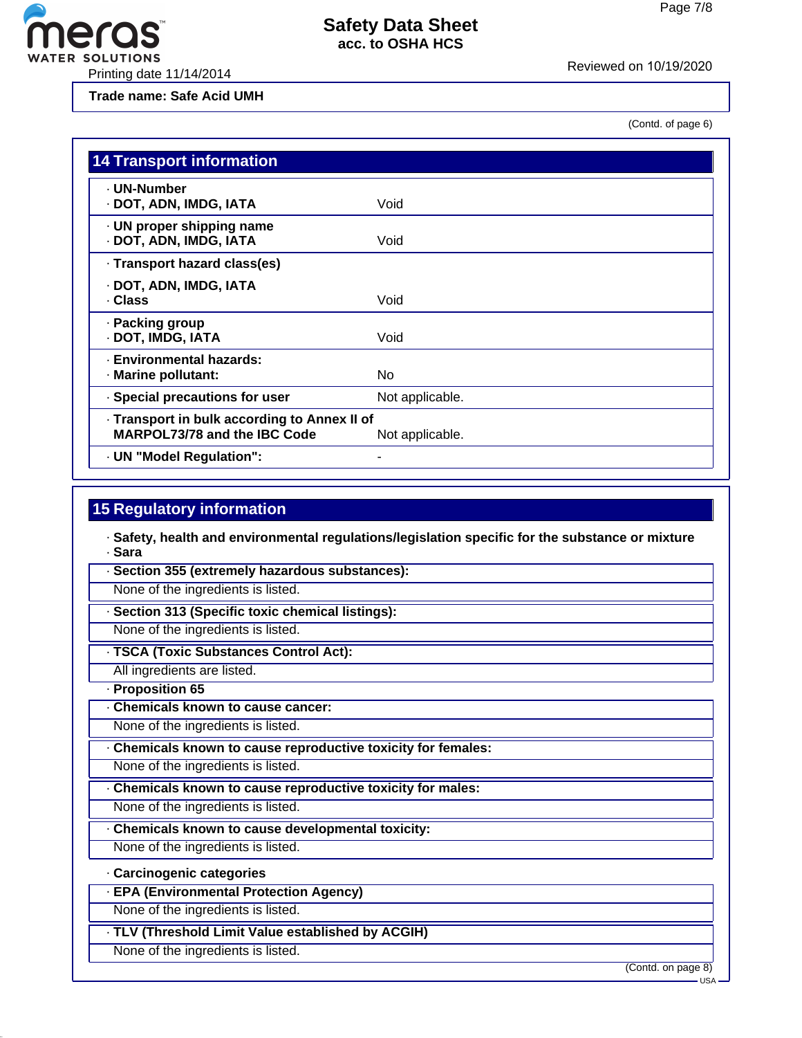ER SOLUTIONS<br>Reviewed on 10/19/2020<br>Printing date 11/14/2014

eros

**Trade name: Safe Acid UMH**

(Contd. of page 6)

| <b>14 Transport information</b>                                              |                 |
|------------------------------------------------------------------------------|-----------------|
| · UN-Number<br>· DOT, ADN, IMDG, IATA                                        | Void            |
| · UN proper shipping name<br>· DOT, ADN, IMDG, IATA                          | Void            |
| · Transport hazard class(es)                                                 |                 |
| · DOT, ADN, IMDG, IATA<br>· Class                                            | Void            |
| · Packing group<br>· DOT, IMDG, IATA                                         | Void            |
| · Environmental hazards:<br>· Marine pollutant:                              | No              |
| · Special precautions for user                                               | Not applicable. |
| · Transport in bulk according to Annex II of<br>MARPOL73/78 and the IBC Code | Not applicable. |
| - UN "Model Regulation":                                                     |                 |

#### **15 Regulatory information**

· **Safety, health and environmental regulations/legislation specific for the substance or mixture** · **Sara**

· **Section 355 (extremely hazardous substances):**

None of the ingredients is listed.

· **Section 313 (Specific toxic chemical listings):**

None of the ingredients is listed.

· **TSCA (Toxic Substances Control Act):**

All ingredients are listed.

· **Proposition 65**

· **Chemicals known to cause cancer:**

None of the ingredients is listed.

· **Chemicals known to cause reproductive toxicity for females:**

None of the ingredients is listed.

· **Chemicals known to cause reproductive toxicity for males:**

None of the ingredients is listed.

· **Chemicals known to cause developmental toxicity:**

None of the ingredients is listed.

#### · **Carcinogenic categories**

· **EPA (Environmental Protection Agency)**

None of the ingredients is listed.

· **TLV (Threshold Limit Value established by ACGIH)**

None of the ingredients is listed.

(Contd. on page 8)

USA